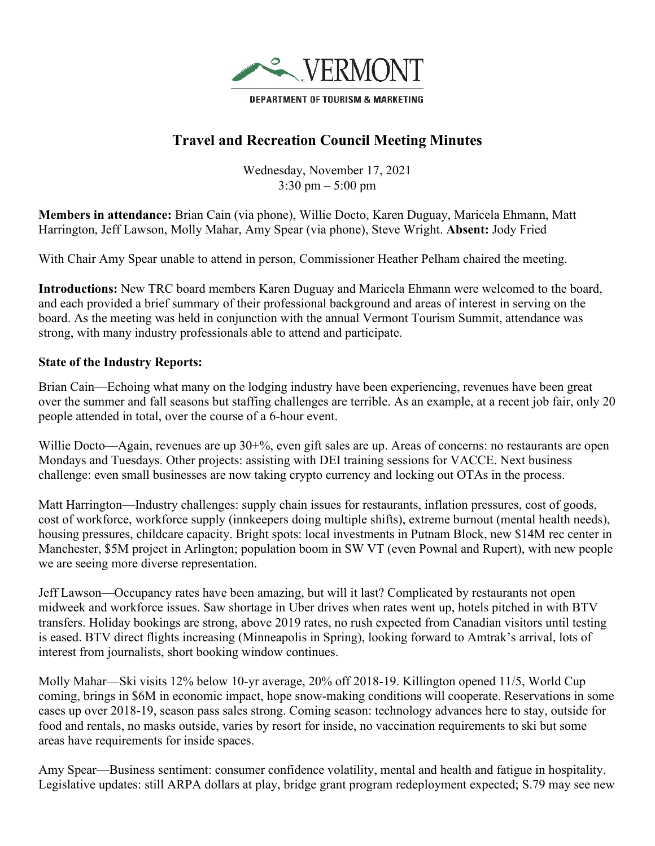

## **Travel and Recreation Council Meeting Minutes**

Wednesday, November 17, 2021 3:30 pm – 5:00 pm

**Members in attendance:** Brian Cain (via phone), Willie Docto, Karen Duguay, Maricela Ehmann, Matt Harrington, Jeff Lawson, Molly Mahar, Amy Spear (via phone), Steve Wright. **Absent:** Jody Fried

With Chair Amy Spear unable to attend in person, Commissioner Heather Pelham chaired the meeting.

**Introductions:** New TRC board members Karen Duguay and Maricela Ehmann were welcomed to the board, and each provided a brief summary of their professional background and areas of interest in serving on the board. As the meeting was held in conjunction with the annual Vermont Tourism Summit, attendance was strong, with many industry professionals able to attend and participate.

## **State of the Industry Reports:**

Brian Cain—Echoing what many on the lodging industry have been experiencing, revenues have been great over the summer and fall seasons but staffing challenges are terrible. As an example, at a recent job fair, only 20 people attended in total, over the course of a 6-hour event.

Willie Docto—Again, revenues are up 30+%, even gift sales are up. Areas of concerns: no restaurants are open Mondays and Tuesdays. Other projects: assisting with DEI training sessions for VACCE. Next business challenge: even small businesses are now taking crypto currency and locking out OTAs in the process.

Matt Harrington—Industry challenges: supply chain issues for restaurants, inflation pressures, cost of goods, cost of workforce, workforce supply (innkeepers doing multiple shifts), extreme burnout (mental health needs), housing pressures, childcare capacity. Bright spots: local investments in Putnam Block, new \$14M rec center in Manchester, \$5M project in Arlington; population boom in SW VT (even Pownal and Rupert), with new people we are seeing more diverse representation.

Jeff Lawson—Occupancy rates have been amazing, but will it last? Complicated by restaurants not open midweek and workforce issues. Saw shortage in Uber drives when rates went up, hotels pitched in with BTV transfers. Holiday bookings are strong, above 2019 rates, no rush expected from Canadian visitors until testing is eased. BTV direct flights increasing (Minneapolis in Spring), looking forward to Amtrak's arrival, lots of interest from journalists, short booking window continues.

Molly Mahar—Ski visits 12% below 10-yr average, 20% off 2018-19. Killington opened 11/5, World Cup coming, brings in \$6M in economic impact, hope snow-making conditions will cooperate. Reservations in some cases up over 2018-19, season pass sales strong. Coming season: technology advances here to stay, outside for food and rentals, no masks outside, varies by resort for inside, no vaccination requirements to ski but some areas have requirements for inside spaces.

Amy Spear—Business sentiment: consumer confidence volatility, mental and health and fatigue in hospitality. Legislative updates: still ARPA dollars at play, bridge grant program redeployment expected; S.79 may see new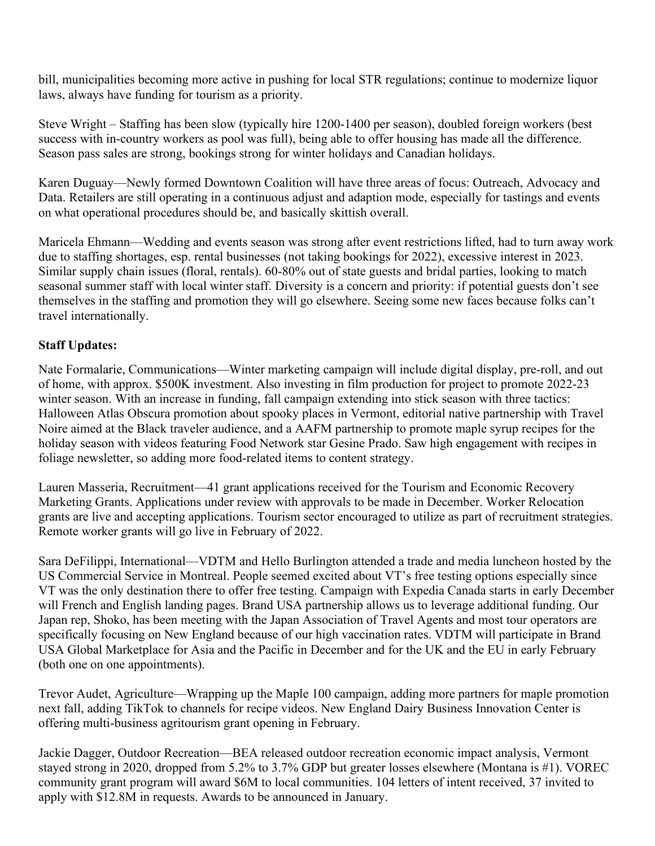bill, municipalities becoming more active in pushing for local STR regulations; continue to modernize liquor laws, always have funding for tourism as a priority.

Steve Wright – Staffing has been slow (typically hire 1200-1400 per season), doubled foreign workers (best success with in-country workers as pool was full), being able to offer housing has made all the difference. Season pass sales are strong, bookings strong for winter holidays and Canadian holidays.

Karen Duguay—Newly formed Downtown Coalition will have three areas of focus: Outreach, Advocacy and Data. Retailers are still operating in a continuous adjust and adaption mode, especially for tastings and events on what operational procedures should be, and basically skittish overall.

Maricela Ehmann—Wedding and events season was strong after event restrictions lifted, had to turn away work due to staffing shortages, esp. rental businesses (not taking bookings for 2022), excessive interest in 2023. Similar supply chain issues (floral, rentals). 60-80% out of state guests and bridal parties, looking to match seasonal summer staff with local winter staff. Diversity is a concern and priority: if potential guests don't see themselves in the staffing and promotion they will go elsewhere. Seeing some new faces because folks can't travel internationally.

## **Staff Updates:**

Nate Formalarie, Communications—Winter marketing campaign will include digital display, pre-roll, and out of home, with approx. \$500K investment. Also investing in film production for project to promote 2022-23 winter season. With an increase in funding, fall campaign extending into stick season with three tactics: Halloween Atlas Obscura promotion about spooky places in Vermont, editorial native partnership with Travel Noire aimed at the Black traveler audience, and a AAFM partnership to promote maple syrup recipes for the holiday season with videos featuring Food Network star Gesine Prado. Saw high engagement with recipes in foliage newsletter, so adding more food-related items to content strategy.

Lauren Masseria, Recruitment—41 grant applications received for the Tourism and Economic Recovery Marketing Grants. Applications under review with approvals to be made in December. Worker Relocation grants are live and accepting applications. Tourism sector encouraged to utilize as part of recruitment strategies. Remote worker grants will go live in February of 2022.

Sara DeFilippi, International—VDTM and Hello Burlington attended a trade and media luncheon hosted by the US Commercial Service in Montreal. People seemed excited about VT's free testing options especially since VT was the only destination there to offer free testing. Campaign with Expedia Canada starts in early December will French and English landing pages. Brand USA partnership allows us to leverage additional funding. Our Japan rep, Shoko, has been meeting with the Japan Association of Travel Agents and most tour operators are specifically focusing on New England because of our high vaccination rates. VDTM will participate in Brand USA Global Marketplace for Asia and the Pacific in December and for the UK and the EU in early February (both one on one appointments).

Trevor Audet, Agriculture—Wrapping up the Maple 100 campaign, adding more partners for maple promotion next fall, adding TikTok to channels for recipe videos. New England Dairy Business Innovation Center is offering multi-business agritourism grant opening in February.

Jackie Dagger, Outdoor Recreation—BEA released outdoor recreation economic impact analysis, Vermont stayed strong in 2020, dropped from 5.2% to 3.7% GDP but greater losses elsewhere (Montana is #1). VOREC community grant program will award \$6M to local communities. 104 letters of intent received, 37 invited to apply with \$12.8M in requests. Awards to be announced in January.